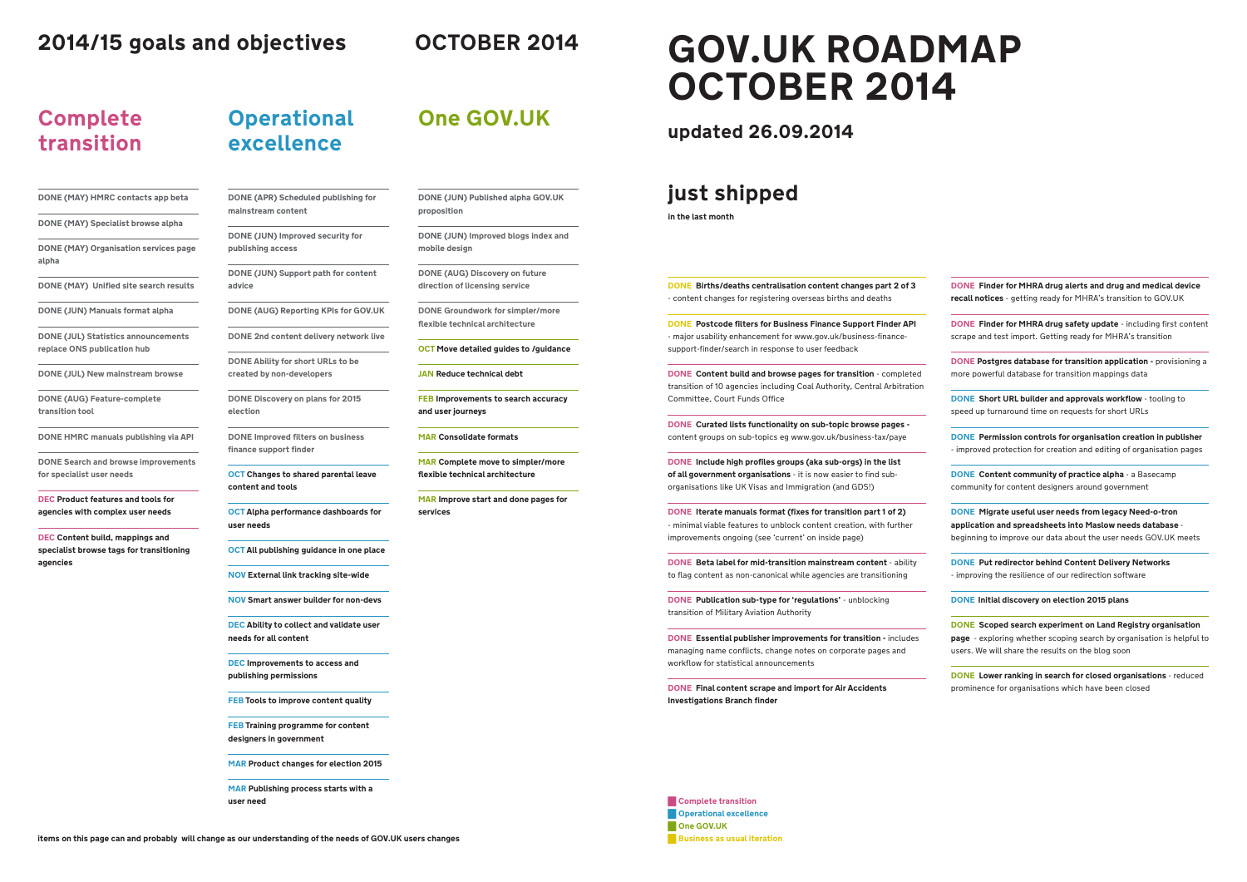**items on this page can and probably will change as our understanding of the needs of GOV.UK users changes**

# **GOV.UK ROADMAP OCTOBER 2014**

# **2014/15 goals and objectives OCTOBER 2014**

**DONE Births/deaths centralisation content changes part 2 of 3**

- content changes for registering overseas births and deaths **DONE Postcode filters for Business Finance Support Finder API**  - major usability enhancement for www.gov.uk/business-financesupport-finder/search in response to user feedback

> **DONE Content build and browse pages for transition** - completed transition of 10 agencies including Coal Authority, Central Arbitration Committee, Court Funds Office

**DONE Curated lists functionality on sub-topic browse pages**  content groups on sub-topics eg www.gov.uk/business-tax/paye

**DONE Essential publisher improvements for transition - includes** managing name conflicts, change notes on corporate pages and workflow for statistical announcements

**DONE Include high profiles groups (aka sub-orgs) in the list of all government organisations** - it is now easier to find suborganisations like UK Visas and Immigration (and GDS!)

**DONE Postgres database for transition application -** provisioning a more powerful database for transition mappings data

**DONE Iterate manuals format (fixes for transition part 1 of 2)** - minimal viable features to unblock content creation, with further improvements ongoing (see 'current' on inside page)

**DONE Beta label for mid-transition mainstream content** - ability to flag content as non-canonical while agencies are transitioning

**DONE Publication sub-type for 'regulations'** - unblocking transition of Military Aviation Authority

**DONE Final content scrape and import for Air Accidents Investigations Branch finder**

**DONE Finder for MHRA drug alerts and drug and medical device recall notices** - getting ready for MHRA's transition to GOV.UK

**DONE Finder for MHRA drug safety update** - including first content scrape and test import. Getting ready for MHRA's transition

**DONE Short URL builder and approvals workflow** - tooling to speed up turnaround time on requests for short URLs

**DONE Permission controls for organisation creation in publisher**  - improved protection for creation and editing of organisation pages

**DONE Content community of practice alpha** - a Basecamp community for content designers around government

**DONE Migrate useful user needs from legacy Need-o-tron application and spreadsheets into Maslow needs database**  beginning to improve our data about the user needs GOV.UK meets

█ **Complete transition EXC** Operational excellence █ **One GOV.UK Business as usual iteration**  **DONE Put redirector behind Content Delivery Networks**  - improving the resilience of our redirection software

**DONE Initial discovery on election 2015 plans**

**DONE Scoped search experiment on Land Registry organisation page** - exploring whether scoping search by organisation is helpful to users. We will share the results on the blog soon

**DONE Lower ranking in search for closed organisations** - reduced prominence for organisations which have been closed

# **Complete transition**

**DONE (MAY) HMRC contacts app beta**

**DONE (MAY) Specialist browse alpha**

**DONE (MAY) Organisation services page alpha**

**DONE (MAY) Unified site search results**

**DONE (JUN) Manuals format alpha**

**DONE (JUL) Statistics announcements replace ONS publication hub** 

**DONE (JUL) New mainstream browse**

**DONE (AUG) Feature-complete transition tool**

**DONE HMRC manuals publishing via API**

**DONE Search and browse improvements for specialist user needs**

**DEC Product features and tools for agencies with complex user needs** 

**DEC Content build, mappings and specialist browse tags for transitioning agencies**

**Operational** 

**excellence**

**DONE (APR) Scheduled publishing for mainstream content**

**DONE (JUN) Improved security for publishing access**

**DONE (JUN) Support path for content advice**

**DONE (AUG) Reporting KPIs for GOV.UK**

**DONE 2nd content delivery network live**

**DONE Ability for short URLs to be** 

**created by non-developers**

**DONE Discovery on plans for 2015** 

**election**

**DONE Improved filters on business** 

**finance support finder**

**OCT Changes to shared parental leave** 

**content and tools** 

**OCT Alpha performance dashboards for** 

**user needs**

**OCT All publishing guidance in one place**

**NOV External link tracking site-wide**

**NOV Smart answer builder for non-devs**

**DEC Ability to collect and validate user needs for all content**

**DEC Improvements to access and publishing permissions**

**FEB Tools to improve content quality**

**FEB Training programme for content designers in government**

**MAR Product changes for election 2015**

**MAR Publishing process starts with a user need**

**One GOV.UK**

**DONE (JUN) Published alpha GOV.UK proposition**

**DONE (JUN) Improved blogs index and mobile design**

**DONE (AUG) Discovery on future direction of licensing service**

**DONE Groundwork for simpler/more flexible technical architecture**

**OCT Move detailed guides to /guidance**

**JAN Reduce technical debt**

**FEB Improvements to search accuracy** 

**and user journeys**

**MAR Consolidate formats**

**MAR Complete move to simpler/more** 

**flexible technical architecture**

**MAR Improve start and done pages for** 

**services**

#### **updated 26.09.2014**

### **just shipped**

**in the last month**